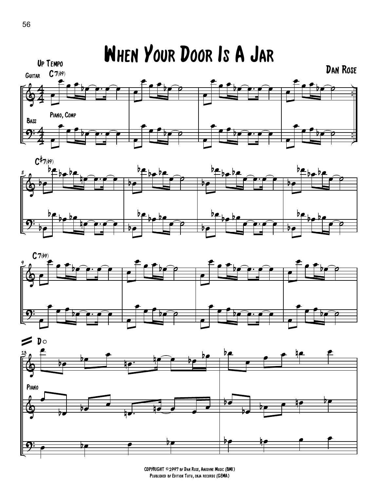When Your Door Is A Jar









COPYRIGHT ©1997 by Dan Rose, Anodyne Music (BMI) Plublished by Edition Tutu, enja records (GEMA)